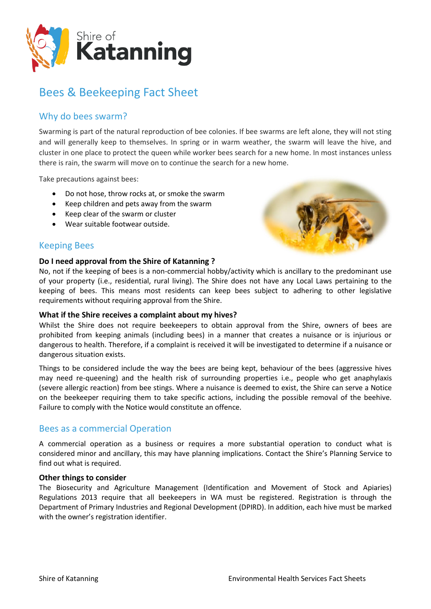

# Bees & Beekeeping Fact Sheet

## Why do bees swarm?

Swarming is part of the natural reproduction of bee colonies. If bee swarms are left alone, they will not sting and will generally keep to themselves. In spring or in warm weather, the swarm will leave the hive, and cluster in one place to protect the queen while worker bees search for a new home. In most instances unless there is rain, the swarm will move on to continue the search for a new home.

Take precautions against bees:

- Do not hose, throw rocks at, or smoke the swarm
- Keep children and pets away from the swarm
- Keep clear of the swarm or cluster
- Wear suitable footwear outside.



## Keeping Bees

#### **Do I need approval from the Shire of Katanning ?**

No, not if the keeping of bees is a non-commercial hobby/activity which is ancillary to the predominant use of your property (i.e., residential, rural living). The Shire does not have any Local Laws pertaining to the keeping of bees. This means most residents can keep bees subject to adhering to other legislative requirements without requiring approval from the Shire.

#### **What if the Shire receives a complaint about my hives?**

Whilst the Shire does not require beekeepers to obtain approval from the Shire, owners of bees are prohibited from keeping animals (including bees) in a manner that creates a nuisance or is injurious or dangerous to health. Therefore, if a complaint is received it will be investigated to determine if a nuisance or dangerous situation exists.

Things to be considered include the way the bees are being kept, behaviour of the bees (aggressive hives may need re-queening) and the health risk of surrounding properties i.e., people who get anaphylaxis (severe allergic reaction) from bee stings. Where a nuisance is deemed to exist, the Shire can serve a Notice on the beekeeper requiring them to take specific actions, including the possible removal of the beehive. Failure to comply with the Notice would constitute an offence.

## Bees as a commercial Operation

A commercial operation as a business or requires a more substantial operation to conduct what is considered minor and ancillary, this may have planning implications. Contact the Shire's Planning Service to find out what is required.

#### **Other things to consider**

The Biosecurity and Agriculture Management (Identification and Movement of Stock and Apiaries) Regulations 2013 require that all beekeepers in WA must be registered. Registration is through the Department of Primary Industries and Regional Development (DPIRD). In addition, each hive must be marked with the owner's registration identifier.